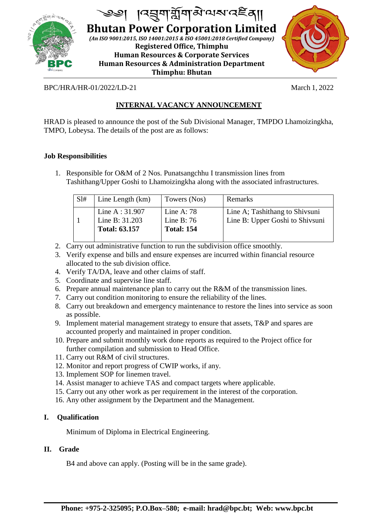

J **Bhutan Power Corporation Limited**

*(An ISO 9001:2015, ISO 14001:2015 & ISO 45001:2018 Certified Company)* **Registered Office, Thimphu Human Resources & Corporate Services Human Resources & Administration Department Thimphu: Bhutan**



BPC/HRA/HR-01/2022/LD-21 March 1, 2022

# **INTERNAL VACANCY ANNOUNCEMENT**

HRAD is pleased to announce the post of the Sub Divisional Manager, TMPDO Lhamoizingkha, TMPO, Lobeysa. The details of the post are as follows:

#### **Job Responsibilities**

1. Responsible for O&M of 2 Nos. Punatsangchhu I transmission lines from Tashithang/Upper Goshi to Lhamoizingkha along with the associated infrastructures.

| SI# | Line Length (km)                                            | Towers (Nos)                                      | Remarks                                                           |
|-----|-------------------------------------------------------------|---------------------------------------------------|-------------------------------------------------------------------|
|     | Line A : $31.907$<br>Line B: 31.203<br><b>Total: 63.157</b> | Line A: $78$<br>Line B: $76$<br><b>Total: 154</b> | Line A; Tashithang to Shivsuni<br>Line B: Upper Goshi to Shivsuni |

- 2. Carry out administrative function to run the subdivision office smoothly.
- 3. Verify expense and bills and ensure expenses are incurred within financial resource allocated to the sub division office.
- 4. Verify TA/DA, leave and other claims of staff.
- 5. Coordinate and supervise line staff.
- 6. Prepare annual maintenance plan to carry out the R&M of the transmission lines.
- 7. Carry out condition monitoring to ensure the reliability of the lines.
- 8. Carry out breakdown and emergency maintenance to restore the lines into service as soon as possible.
- 9. Implement material management strategy to ensure that assets, T&P and spares are accounted properly and maintained in proper condition.
- 10. Prepare and submit monthly work done reports as required to the Project office for further compilation and submission to Head Office.
- 11. Carry out R&M of civil structures.
- 12. Monitor and report progress of CWIP works, if any.
- 13. Implement SOP for linemen travel.
- 14. Assist manager to achieve TAS and compact targets where applicable.
- 15. Carry out any other work as per requirement in the interest of the corporation.
- 16. Any other assignment by the Department and the Management.

#### **I. Qualification**

Minimum of Diploma in Electrical Engineering.

#### **II. Grade**

B4 and above can apply. (Posting will be in the same grade).